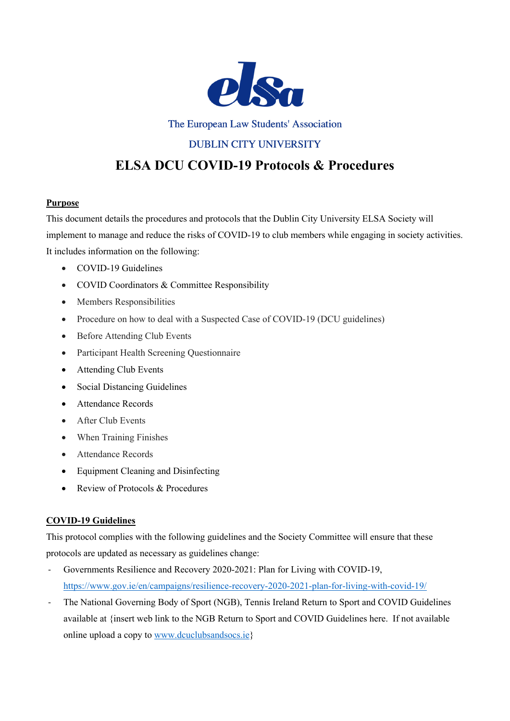

The European Law Students' Association

# **DUBLIN CITY UNIVERSITY**

# **ELSA DCU COVID-19 Protocols & Procedures**

# **Purpose**

This document details the procedures and protocols that the Dublin City University ELSA Society will implement to manage and reduce the risks of COVID-19 to club members while engaging in society activities. It includes information on the following:

- COVID-19 Guidelines
- COVID Coordinators & Committee Responsibility
- Members Responsibilities
- Procedure on how to deal with a Suspected Case of COVID-19 (DCU guidelines)
- Before Attending Club Events
- Participant Health Screening Questionnaire
- Attending Club Events
- Social Distancing Guidelines
- Attendance Records
- After Club Events
- When Training Finishes
- Attendance Records
- Equipment Cleaning and Disinfecting
- Review of Protocols & Procedures

# **COVID-19 Guidelines**

This protocol complies with the following guidelines and the Society Committee will ensure that these protocols are updated as necessary as guidelines change:

- Governments Resilience and Recovery 2020-2021: Plan for Living with COVID-19, https://www.gov.ie/en/campaigns/resilience-recovery-2020-2021-plan-for-living-with-covid-19/
- The National Governing Body of Sport (NGB), Tennis Ireland Return to Sport and COVID Guidelines available at {insert web link to the NGB Return to Sport and COVID Guidelines here. If not available online upload a copy to www.dcuclubsandsocs.ie}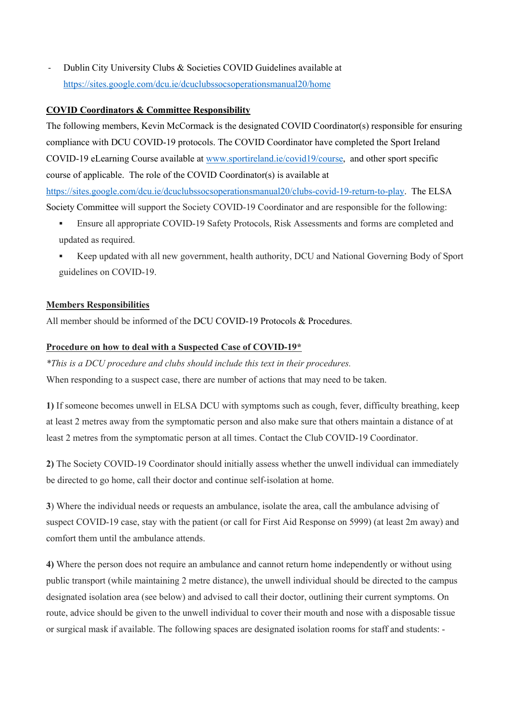Dublin City University Clubs & Societies COVID Guidelines available at https://sites.google.com/dcu.ie/dcuclubssocsoperationsmanual20/home

#### **COVID Coordinators & Committee Responsibility**

The following members, Kevin McCormack is the designated COVID Coordinator(s) responsible for ensuring compliance with DCU COVID-19 protocols. The COVID Coordinator have completed the Sport Ireland COVID-19 eLearning Course available at www.sportireland.ie/covid19/course, and other sport specific course of applicable. The role of the COVID Coordinator(s) is available at https://sites.google.com/dcu.ie/dcuclubssocsoperationsmanual20/clubs-covid-19-return-to-play. The ELSA Society Committee will support the Society COVID-19 Coordinator and are responsible for the following:

- § Ensure all appropriate COVID-19 Safety Protocols, Risk Assessments and forms are completed and updated as required.
- § Keep updated with all new government, health authority, DCU and National Governing Body of Sport guidelines on COVID-19.

#### **Members Responsibilities**

All member should be informed of the DCU COVID-19 Protocols & Procedures.

#### **Procedure on how to deal with a Suspected Case of COVID-19\***

*\*This is a DCU procedure and clubs should include this text in their procedures.*

When responding to a suspect case, there are number of actions that may need to be taken.

**1)** If someone becomes unwell in ELSA DCU with symptoms such as cough, fever, difficulty breathing, keep at least 2 metres away from the symptomatic person and also make sure that others maintain a distance of at least 2 metres from the symptomatic person at all times. Contact the Club COVID‐19 Coordinator.

**2)** The Society COVID‐19 Coordinator should initially assess whether the unwell individual can immediately be directed to go home, call their doctor and continue self‐isolation at home.

**3**) Where the individual needs or requests an ambulance, isolate the area, call the ambulance advising of suspect COVID-19 case, stay with the patient (or call for First Aid Response on 5999) (at least 2m away) and comfort them until the ambulance attends.

**4)** Where the person does not require an ambulance and cannot return home independently or without using public transport (while maintaining 2 metre distance), the unwell individual should be directed to the campus designated isolation area (see below) and advised to call their doctor, outlining their current symptoms. On route, advice should be given to the unwell individual to cover their mouth and nose with a disposable tissue or surgical mask if available. The following spaces are designated isolation rooms for staff and students: -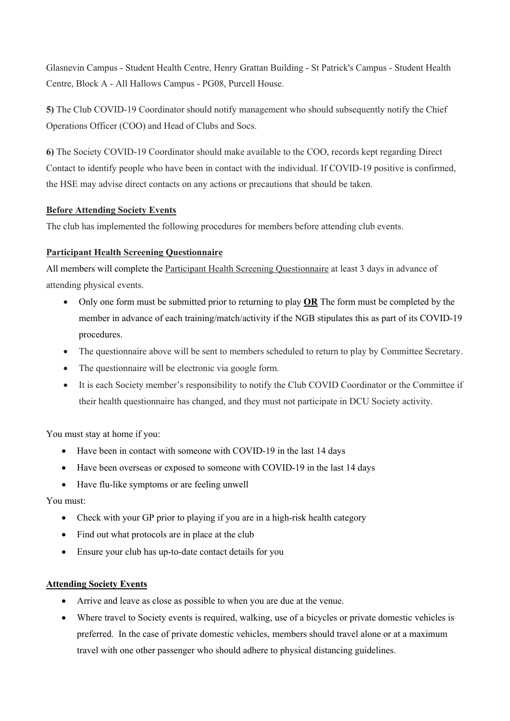Glasnevin Campus - Student Health Centre, Henry Grattan Building - St Patrick's Campus - Student Health Centre, Block A - All Hallows Campus - PG08, Purcell House.

**5)** The Club COVID‐19 Coordinator should notify management who should subsequently notify the Chief Operations Officer (COO) and Head of Clubs and Socs.

**6)** The Society COVID‐19 Coordinator should make available to the COO, records kept regarding Direct Contact to identify people who have been in contact with the individual. If COVID-19 positive is confirmed, the HSE may advise direct contacts on any actions or precautions that should be taken.

# **Before Attending Society Events**

The club has implemented the following procedures for members before attending club events.

# **Participant Health Screening Questionnaire**

All members will complete the Participant Health Screening Questionnaire at least 3 days in advance of attending physical events.

- Only one form must be submitted prior to returning to play **OR** The form must be completed by the member in advance of each training/match/activity if the NGB stipulates this as part of its COVID-19 procedures.
- The questionnaire above will be sent to members scheduled to return to play by Committee Secretary.
- The questionnaire will be electronic via google form.
- It is each Society member's responsibility to notify the Club COVID Coordinator or the Committee if their health questionnaire has changed, and they must not participate in DCU Society activity.

You must stay at home if you:

- Have been in contact with someone with COVID-19 in the last 14 days
- Have been overseas or exposed to someone with COVID-19 in the last 14 days
- Have flu-like symptoms or are feeling unwell

# You must:

- Check with your GP prior to playing if you are in a high-risk health category
- Find out what protocols are in place at the club
- Ensure your club has up-to-date contact details for you

# **Attending Society Events**

- Arrive and leave as close as possible to when you are due at the venue.
- Where travel to Society events is required, walking, use of a bicycles or private domestic vehicles is preferred. In the case of private domestic vehicles, members should travel alone or at a maximum travel with one other passenger who should adhere to physical distancing guidelines.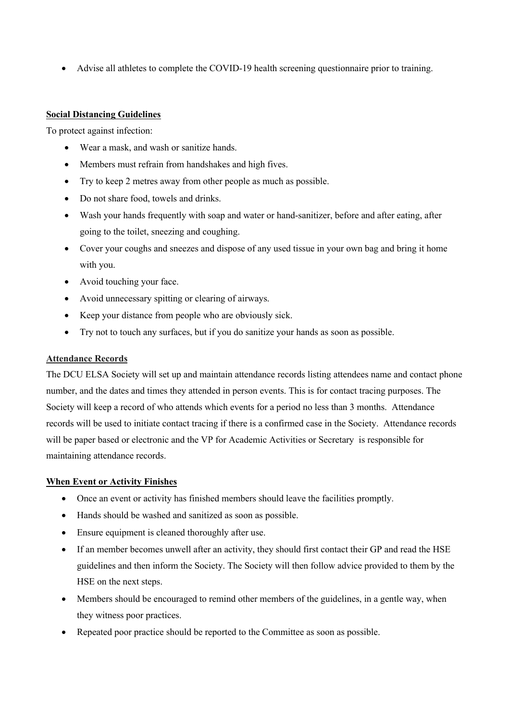• Advise all athletes to complete the COVID-19 health screening questionnaire prior to training.

#### **Social Distancing Guidelines**

To protect against infection:

- Wear a mask, and wash or sanitize hands.
- Members must refrain from handshakes and high fives.
- Try to keep 2 metres away from other people as much as possible.
- Do not share food, towels and drinks.
- Wash your hands frequently with soap and water or hand-sanitizer, before and after eating, after going to the toilet, sneezing and coughing.
- Cover your coughs and sneezes and dispose of any used tissue in your own bag and bring it home with you.
- Avoid touching your face.
- Avoid unnecessary spitting or clearing of airways.
- Keep your distance from people who are obviously sick.
- Try not to touch any surfaces, but if you do sanitize your hands as soon as possible.

# **Attendance Records**

The DCU ELSA Society will set up and maintain attendance records listing attendees name and contact phone number, and the dates and times they attended in person events. This is for contact tracing purposes. The Society will keep a record of who attends which events for a period no less than 3 months. Attendance records will be used to initiate contact tracing if there is a confirmed case in the Society. Attendance records will be paper based or electronic and the VP for Academic Activities or Secretary is responsible for maintaining attendance records.

#### **When Event or Activity Finishes**

- Once an event or activity has finished members should leave the facilities promptly.
- Hands should be washed and sanitized as soon as possible.
- Ensure equipment is cleaned thoroughly after use.
- If an member becomes unwell after an activity, they should first contact their GP and read the HSE guidelines and then inform the Society. The Society will then follow advice provided to them by the HSE on the next steps.
- Members should be encouraged to remind other members of the guidelines, in a gentle way, when they witness poor practices.
- Repeated poor practice should be reported to the Committee as soon as possible.